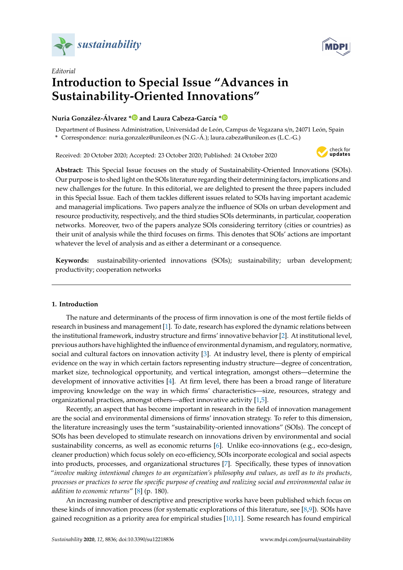



# *Editorial* **Introduction to Special Issue "Advances in Sustainability-Oriented Innovations"**

# **Nuria González-Álvarez [\\*](https://orcid.org/0000-0002-2224-567X) and Laura Cabeza-García [\\*](https://orcid.org/0000-0001-8893-9415)**

Department of Business Administration, Universidad de León, Campus de Vegazana s/n, 24071 León, Spain **\*** Correspondence: nuria.gonzalez@unileon.es (N.G.-Á.); laura.cabeza@unileon.es (L.C.-G.)

Received: 20 October 2020; Accepted: 23 October 2020; Published: 24 October 2020



**Abstract:** This Special Issue focuses on the study of Sustainability-Oriented Innovations (SOIs). Our purpose is to shed light on the SOIs literature regarding their determining factors, implications and new challenges for the future. In this editorial, we are delighted to present the three papers included in this Special Issue. Each of them tackles different issues related to SOIs having important academic and managerial implications. Two papers analyze the influence of SOIs on urban development and resource productivity, respectively, and the third studies SOIs determinants, in particular, cooperation networks. Moreover, two of the papers analyze SOIs considering territory (cities or countries) as their unit of analysis while the third focuses on firms. This denotes that SOIs' actions are important whatever the level of analysis and as either a determinant or a consequence.

**Keywords:** sustainability-oriented innovations (SOIs); sustainability; urban development; productivity; cooperation networks

## **1. Introduction**

The nature and determinants of the process of firm innovation is one of the most fertile fields of research in business and management [\[1\]](#page-3-0). To date, research has explored the dynamic relations between the institutional framework, industry structure and firms' innovative behavior [\[2\]](#page-3-1). At institutional level, previous authors have highlighted the influence of environmental dynamism, and regulatory, normative, social and cultural factors on innovation activity [\[3\]](#page-3-2). At industry level, there is plenty of empirical evidence on the way in which certain factors representing industry structure—degree of concentration, market size, technological opportunity, and vertical integration, amongst others—determine the development of innovative activities [\[4\]](#page-3-3). At firm level, there has been a broad range of literature improving knowledge on the way in which firms' characteristics—size, resources, strategy and organizational practices, amongst others—affect innovative activity [\[1,](#page-3-0)[5\]](#page-3-4).

Recently, an aspect that has become important in research in the field of innovation management are the social and environmental dimensions of firms' innovation strategy. To refer to this dimension, the literature increasingly uses the term "sustainability-oriented innovations" (SOIs). The concept of SOIs has been developed to stimulate research on innovations driven by environmental and social sustainability concerns, as well as economic returns [\[6\]](#page-3-5). Unlike eco-innovations (e.g., eco-design, cleaner production) which focus solely on eco-efficiency, SOIs incorporate ecological and social aspects into products, processes, and organizational structures [\[7\]](#page-3-6). Specifically, these types of innovation "*involve making intentional changes to an organization's philosophy and values, as well as to its products, processes or practices to serve the specific purpose of creating and realizing social and environmental value in addition to economic returns*" [\[8\]](#page-3-7) (p. 180).

An increasing number of descriptive and prescriptive works have been published which focus on these kinds of innovation process (for systematic explorations of this literature, see [\[8](#page-3-7)[,9\]](#page-4-0)). SOIs have gained recognition as a priority area for empirical studies [\[10,](#page-4-1)[11\]](#page-4-2). Some research has found empirical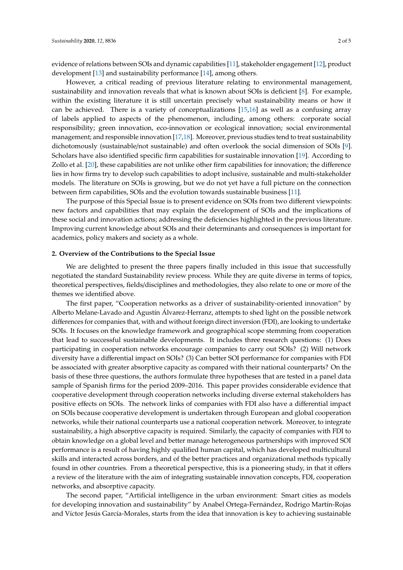evidence of relations between SOIs and dynamic capabilities [\[11\]](#page-4-2), stakeholder engagement [\[12\]](#page-4-3), product development [\[13\]](#page-4-4) and sustainability performance [\[14\]](#page-4-5), among others.

However, a critical reading of previous literature relating to environmental management, sustainability and innovation reveals that what is known about SOIs is deficient [\[8\]](#page-3-7). For example, within the existing literature it is still uncertain precisely what sustainability means or how it can be achieved. There is a variety of conceptualizations [\[15,](#page-4-6)[16\]](#page-4-7) as well as a confusing array of labels applied to aspects of the phenomenon, including, among others: corporate social responsibility; green innovation, eco-innovation or ecological innovation; social environmental management; and responsible innovation [\[17,](#page-4-8)[18\]](#page-4-9). Moreover, previous studies tend to treat sustainability dichotomously (sustainable/not sustainable) and often overlook the social dimension of SOIs [\[9\]](#page-4-0). Scholars have also identified specific firm capabilities for sustainable innovation [\[19\]](#page-4-10). According to Zollo et al. [\[20\]](#page-4-11), these capabilities are not unlike other firm capabilities for innovation; the difference lies in how firms try to develop such capabilities to adopt inclusive, sustainable and multi-stakeholder models. The literature on SOIs is growing, but we do not yet have a full picture on the connection between firm capabilities, SOIs and the evolution towards sustainable business [\[11\]](#page-4-2).

The purpose of this Special Issue is to present evidence on SOIs from two different viewpoints: new factors and capabilities that may explain the development of SOIs and the implications of these social and innovation actions; addressing the deficiencies highlighted in the previous literature. Improving current knowledge about SOIs and their determinants and consequences is important for academics, policy makers and society as a whole.

#### **2. Overview of the Contributions to the Special Issue**

We are delighted to present the three papers finally included in this issue that successfully negotiated the standard Sustainability review process. While they are quite diverse in terms of topics, theoretical perspectives, fields/disciplines and methodologies, they also relate to one or more of the themes we identified above.

The first paper, "Cooperation networks as a driver of sustainability-oriented innovation" by Alberto Melane-Lavado and Agustín Álvarez-Herranz, attempts to shed light on the possible network differences for companies that, with and without foreign direct inversion (FDI), are looking to undertake SOIs. It focuses on the knowledge framework and geographical scope stemming from cooperation that lead to successful sustainable developments. It includes three research questions: (1) Does participating in cooperation networks encourage companies to carry out SOIs? (2) Will network diversity have a differential impact on SOIs? (3) Can better SOI performance for companies with FDI be associated with greater absorptive capacity as compared with their national counterparts? On the basis of these three questions, the authors formulate three hypotheses that are tested in a panel data sample of Spanish firms for the period 2009–2016. This paper provides considerable evidence that cooperative development through cooperation networks including diverse external stakeholders has positive effects on SOIs. The network links of companies with FDI also have a differential impact on SOIs because cooperative development is undertaken through European and global cooperation networks, while their national counterparts use a national cooperation network. Moreover, to integrate sustainability, a high absorptive capacity is required. Similarly, the capacity of companies with FDI to obtain knowledge on a global level and better manage heterogeneous partnerships with improved SOI performance is a result of having highly qualified human capital, which has developed multicultural skills and interacted across borders, and of the better practices and organizational methods typically found in other countries. From a theoretical perspective, this is a pioneering study, in that it offers a review of the literature with the aim of integrating sustainable innovation concepts, FDI, cooperation networks, and absorptive capacity.

The second paper, "Artificial intelligence in the urban environment: Smart cities as models for developing innovation and sustainability" by Anabel Ortega-Fernández, Rodrigo Martín-Rojas and Víctor Jesús García-Morales, starts from the idea that innovation is key to achieving sustainable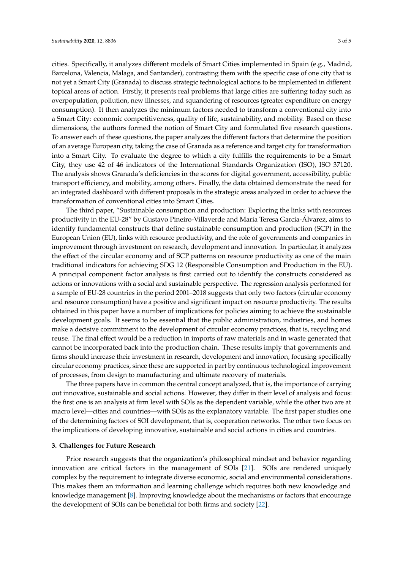cities. Specifically, it analyzes different models of Smart Cities implemented in Spain (e.g., Madrid, Barcelona, Valencia, Malaga, and Santander), contrasting them with the specific case of one city that is not yet a Smart City (Granada) to discuss strategic technological actions to be implemented in different topical areas of action. Firstly, it presents real problems that large cities are suffering today such as overpopulation, pollution, new illnesses, and squandering of resources (greater expenditure on energy consumption). It then analyzes the minimum factors needed to transform a conventional city into a Smart City: economic competitiveness, quality of life, sustainability, and mobility. Based on these dimensions, the authors formed the notion of Smart City and formulated five research questions. To answer each of these questions, the paper analyzes the different factors that determine the position of an average European city, taking the case of Granada as a reference and target city for transformation into a Smart City. To evaluate the degree to which a city fulfills the requirements to be a Smart City, they use 42 of 46 indicators of the International Standards Organization (ISO), ISO 37120. The analysis shows Granada's deficiencies in the scores for digital government, accessibility, public transport efficiency, and mobility, among others. Finally, the data obtained demonstrate the need for an integrated dashboard with different proposals in the strategic areas analyzed in order to achieve the transformation of conventional cities into Smart Cities.

The third paper, "Sustainable consumption and production: Exploring the links with resources productivity in the EU-28" by Gustavo Pineiro-Villaverde and María Teresa García-Álvarez, aims to identify fundamental constructs that define sustainable consumption and production (SCP) in the European Union (EU), links with resource productivity, and the role of governments and companies in improvement through investment on research, development and innovation. In particular, it analyzes the effect of the circular economy and of SCP patterns on resource productivity as one of the main traditional indicators for achieving SDG 12 (Responsible Consumption and Production in the EU). A principal component factor analysis is first carried out to identify the constructs considered as actions or innovations with a social and sustainable perspective. The regression analysis performed for a sample of EU-28 countries in the period 2001–2018 suggests that only two factors (circular economy and resource consumption) have a positive and significant impact on resource productivity. The results obtained in this paper have a number of implications for policies aiming to achieve the sustainable development goals. It seems to be essential that the public administration, industries, and homes make a decisive commitment to the development of circular economy practices, that is, recycling and reuse. The final effect would be a reduction in imports of raw materials and in waste generated that cannot be incorporated back into the production chain. These results imply that governments and firms should increase their investment in research, development and innovation, focusing specifically circular economy practices, since these are supported in part by continuous technological improvement of processes, from design to manufacturing and ultimate recovery of materials.

The three papers have in common the central concept analyzed, that is, the importance of carrying out innovative, sustainable and social actions. However, they differ in their level of analysis and focus: the first one is an analysis at firm level with SOIs as the dependent variable, while the other two are at macro level—cities and countries—with SOIs as the explanatory variable. The first paper studies one of the determining factors of SOI development, that is, cooperation networks. The other two focus on the implications of developing innovative, sustainable and social actions in cities and countries.

#### **3. Challenges for Future Research**

Prior research suggests that the organization's philosophical mindset and behavior regarding innovation are critical factors in the management of SOIs [\[21\]](#page-4-12). SOIs are rendered uniquely complex by the requirement to integrate diverse economic, social and environmental considerations. This makes them an information and learning challenge which requires both new knowledge and knowledge management [\[8\]](#page-3-7). Improving knowledge about the mechanisms or factors that encourage the development of SOIs can be beneficial for both firms and society [\[22\]](#page-4-13).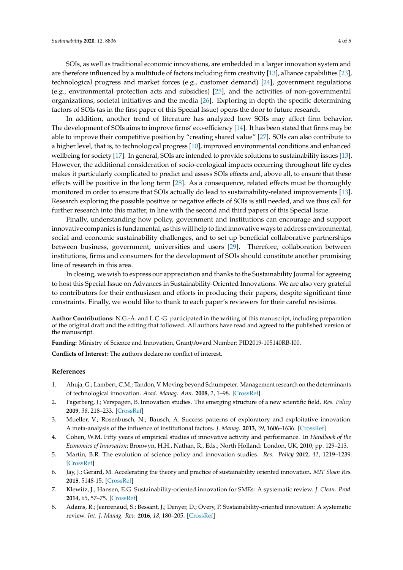SOIs, as well as traditional economic innovations, are embedded in a larger innovation system and are therefore influenced by a multitude of factors including firm creativity [\[13\]](#page-4-4), alliance capabilities [\[23\]](#page-4-14), technological progress and market forces (e.g., customer demand) [\[24\]](#page-4-15), government regulations (e.g., environmental protection acts and subsidies) [\[25\]](#page-4-16), and the activities of non-governmental organizations, societal initiatives and the media [\[26\]](#page-4-17). Exploring in depth the specific determining factors of SOIs (as in the first paper of this Special Issue) opens the door to future research.

In addition, another trend of literature has analyzed how SOIs may affect firm behavior. The development of SOIs aims to improve firms' eco-efficiency [\[14\]](#page-4-5). It has been stated that firms may be able to improve their competitive position by "creating shared value" [\[27\]](#page-4-18). SOIs can also contribute to a higher level, that is, to technological progress [\[10\]](#page-4-1), improved environmental conditions and enhanced wellbeing for society [\[17\]](#page-4-8). In general, SOIs are intended to provide solutions to sustainability issues [\[13\]](#page-4-4). However, the additional consideration of socio-ecological impacts occurring throughout life cycles makes it particularly complicated to predict and assess SOIs effects and, above all, to ensure that these effects will be positive in the long term [\[28\]](#page-4-19). As a consequence, related effects must be thoroughly monitored in order to ensure that SOIs actually do lead to sustainability-related improvements [\[13\]](#page-4-4). Research exploring the possible positive or negative effects of SOIs is still needed, and we thus call for further research into this matter, in line with the second and third papers of this Special Issue.

Finally, understanding how policy, government and institutions can encourage and support innovative companies is fundamental, as this will help to find innovative ways to address environmental, social and economic sustainability challenges, and to set up beneficial collaborative partnerships between business, government, universities and users [\[29\]](#page-4-20). Therefore, collaboration between institutions, firms and consumers for the development of SOIs should constitute another promising line of research in this area.

In closing, we wish to express our appreciation and thanks to the Sustainability Journal for agreeing to host this Special Issue on Advances in Sustainability-Oriented Innovations. We are also very grateful to contributors for their enthusiasm and efforts in producing their papers, despite significant time constraints. Finally, we would like to thank to each paper's reviewers for their careful revisions.

**Author Contributions:** N.G.-Á. and L.C.-G. participated in the writing of this manuscript, including preparation of the original draft and the editing that followed. All authors have read and agreed to the published version of the manuscript.

**Funding:** Ministry of Science and Innovation, Grant/Award Number: PID2019-105140RB-I00.

**Conflicts of Interest:** The authors declare no conflict of interest.

## **References**

- <span id="page-3-0"></span>1. Ahuja, G.; Lambert, C.M.; Tandon, V. Moving beyond Schumpeter. Management research on the determinants of technological innovation. *Acad. Manag. Ann.* **2008**, *2*, 1–98. [\[CrossRef\]](http://dx.doi.org/10.5465/19416520802211446)
- <span id="page-3-1"></span>2. Fagerberg, J.; Verspagen, B. Innovation studies. The emerging structure of a new scientific field. *Res. Policy* **2009**, *38*, 218–233. [\[CrossRef\]](http://dx.doi.org/10.1016/j.respol.2008.12.006)
- <span id="page-3-2"></span>3. Mueller, V.; Rosenbusch, N.; Bausch, A. Success patterns of exploratory and exploitative innovation: A meta-analysis of the influence of institutional factors. *J. Manag.* **2013**, *39*, 1606–1636. [\[CrossRef\]](http://dx.doi.org/10.1177/0149206313484516)
- <span id="page-3-3"></span>4. Cohen, W.M. Fifty years of empirical studies of innovative activity and performance. In *Handbook of the Economics of Innovation*; Bronwyn, H.H., Nathan, R., Eds.; North Holland: London, UK, 2010; pp. 129–213.
- <span id="page-3-4"></span>5. Martin, B.R. The evolution of science policy and innovation studies. *Res. Policy* **2012**, *41*, 1219–1239. [\[CrossRef\]](http://dx.doi.org/10.1016/j.respol.2012.03.012)
- <span id="page-3-5"></span>6. Jay, J.; Gerard, M. Accelerating the theory and practice of sustainability oriented innovation. *MIT Sloan Res.* **2015**, 5148-15. [\[CrossRef\]](http://dx.doi.org/10.2139/ssrn.2629683)
- <span id="page-3-6"></span>7. Klewitz, J.; Hansen, E.G. Sustainability-oriented innovation for SMEs: A systematic review. *J. Clean. Prod.* **2014**, *65*, 57–75. [\[CrossRef\]](http://dx.doi.org/10.1016/j.jclepro.2013.07.017)
- <span id="page-3-7"></span>8. Adams, R.; Jeanrenaud, S.; Bessant, J.; Denyer, D.; Overy, P. Sustainability-oriented innovation: A systematic review. *Int. J. Manag. Rev.* **2016**, *18*, 180–205. [\[CrossRef\]](http://dx.doi.org/10.1111/ijmr.12068)